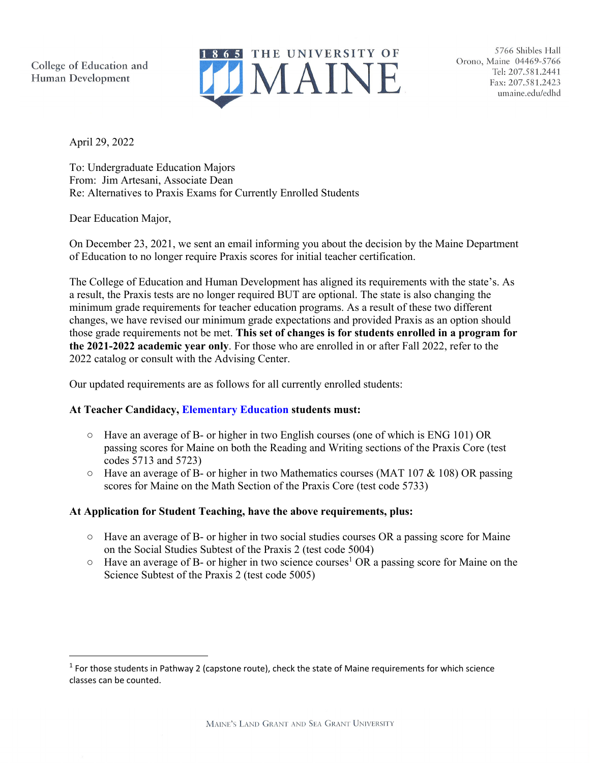College of Education and Human Development



5766 Shibles Hall Orono, Maine 04469-5766 Tel: 207.581.2441 Fax: 207.581.2423 umaine.edu/edhd

April 29, 2022

To: Undergraduate Education Majors From: Jim Artesani, Associate Dean Re: Alternatives to Praxis Exams for Currently Enrolled Students

Dear Education Major,

On December 23, 2021, we sent an email informing you about the decision by the Maine Department of Education to no longer require Praxis scores for initial teacher certification.

The College of Education and Human Development has aligned its requirements with the state's. As a result, the Praxis tests are no longer required BUT are optional. The state is also changing the minimum grade requirements for teacher education programs. As a result of these two different changes, we have revised our minimum grade expectations and provided Praxis as an option should those grade requirements not be met. **This set of changes is for students enrolled in a program for the 2021-2022 academic year only**. For those who are enrolled in or after Fall 2022, refer to the 2022 catalog or consult with the Advising Center.

Our updated requirements are as follows for all currently enrolled students:

## **At Teacher Candidacy, Elementary Education students must:**

- Have an average of B- or higher in two English courses (one of which is ENG 101) OR passing scores for Maine on both the Reading and Writing sections of the Praxis Core (test codes 5713 and 5723)
- Have an average of B- or higher in two Mathematics courses (MAT 107 & 108) OR passing scores for Maine on the Math Section of the Praxis Core (test code 5733)

## **At Application for Student Teaching, have the above requirements, plus:**

- Have an average of B- or higher in two social studies courses OR a passing score for Maine on the Social Studies Subtest of the Praxis 2 (test code 5004)
- $\circ$  Have an average of B- or higher in two science courses<sup>1</sup> OR a passing score for Maine on the Science Subtest of the Praxis 2 (test code 5005)

 $<sup>1</sup>$  For those students in Pathway 2 (capstone route), check the state of Maine requirements for which science</sup> classes can be counted.